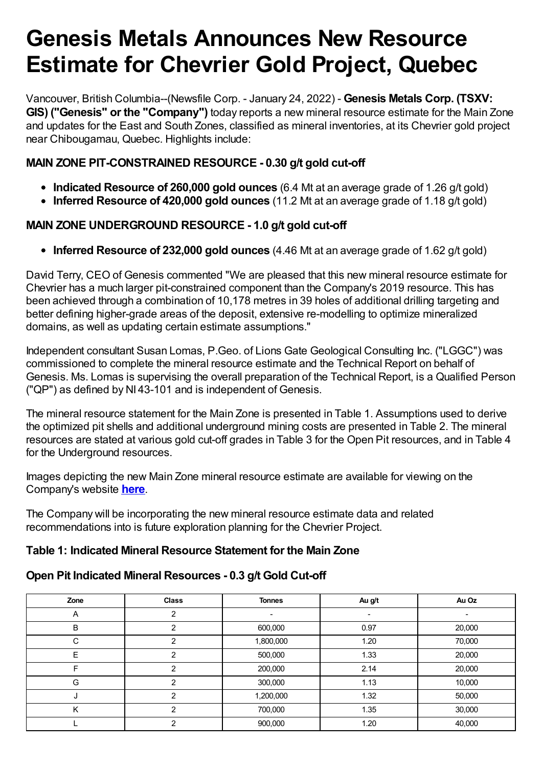# **Genesis Metals Announces New Resource Estimate for Chevrier Gold Project, Quebec**

Vancouver, British Columbia--(Newsfile Corp. - January 24, 2022) - **Genesis Metals Corp. (TSXV: GIS) ("Genesis" or the "Company")** today reports a new mineral resource estimate for the Main Zone and updates for the East and South Zones, classified as mineral inventories, at its Chevrier gold project near Chibougamau, Quebec. Highlights include:

# **MAIN ZONE PIT-CONSTRAINED RESOURCE - 0.30 g/t gold cut-off**

- **Indicated Resource of 260,000 gold ounces** (6.4 Mt at an average grade of 1.26 g/t gold)
- **Inferred Resource of 420,000 gold ounces** (11.2 Mt at an average grade of 1.18 g/t gold)

# **MAIN ZONE UNDERGROUND RESOURCE - 1.0 g/t gold cut-off**

**Inferred Resource of 232,000 gold ounces** (4.46 Mt at an average grade of 1.62 g/t gold)

David Terry, CEO of Genesis commented "We are pleased that this new mineral resource estimate for Chevrier has a much larger pit-constrained component than the Company's 2019 resource. This has been achieved through a combination of 10,178 metres in 39 holes of additional drilling targeting and better defining higher-grade areas of the deposit, extensive re-modelling to optimize mineralized domains, as well as updating certain estimate assumptions."

Independent consultant Susan Lomas, P.Geo. of Lions Gate Geological Consulting Inc. ("LGGC") was commissioned to complete the mineral resource estimate and the Technical Report on behalf of Genesis. Ms. Lomas is supervising the overall preparation of the Technical Report, is a Qualified Person ("QP") as defined by NI 43-101 and is independent of Genesis.

The mineral resource statement for the Main Zone is presented in Table 1. Assumptions used to derive the optimized pit shells and additional underground mining costs are presented in Table 2. The mineral resources are stated at various gold cut-off grades in Table 3 for the Open Pit resources, and in Table 4 for the Underground resources.

Images depicting the new Main Zone mineral resource estimate are available for viewing on the Company's website **[here](https://www.newsfilecorp.com/redirect/GOjeDiwzBE)**.

The Company will be incorporating the new mineral resource estimate data and related recommendations into is future exploration planning for the Chevrier Project.

## **Table 1: Indicated Mineral Resource Statement for the Main Zone**

# **Open Pit Indicated Mineral Resources - 0.3 g/t Gold Cut-off**

| Zone | <b>Class</b>   | <b>Tonnes</b> | Au g/t | Au Oz  |  |
|------|----------------|---------------|--------|--------|--|
| A    | ົ              |               |        |        |  |
| B    | ົ              | 600,000       | 0.97   | 20,000 |  |
| С    | າ              | 1,800,000     | 1.20   | 70,000 |  |
| E    | ົ              | 500,000       | 1.33   | 20,000 |  |
|      | າ              | 200,000       | 2.14   | 20,000 |  |
| G    | $\mathfrak{p}$ | 300,000       | 1.13   | 10,000 |  |
| ×.   | っ              | 1,200,000     | 1.32   | 50,000 |  |
|      | ົ              | 700,000       | 1.35   | 30,000 |  |
|      | ⌒              | 900,000       | 1.20   | 40,000 |  |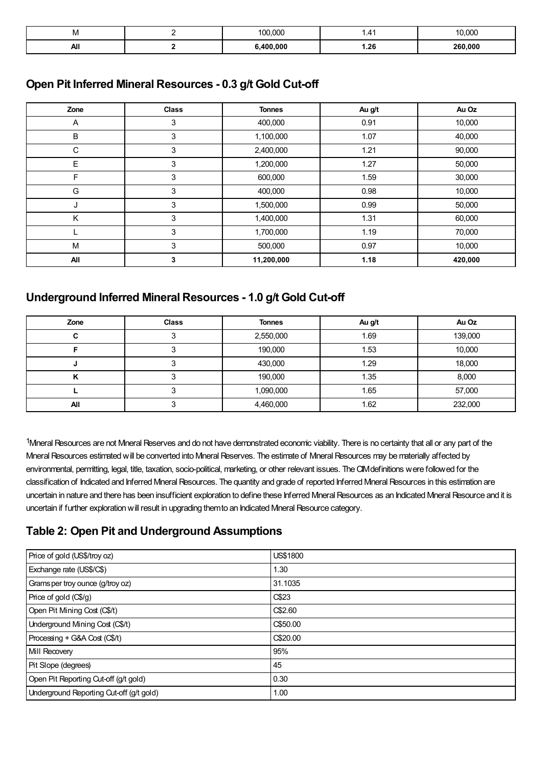| IVI | 000<br>$\sim$ | 1.41 | 10.000  |
|-----|---------------|------|---------|
| All | 400.000       | 1.26 | 260,000 |

#### **Open Pit Inferred Mineral Resources - 0.3 g/t Gold Cut-off**

| Zone | <b>Class</b> | <b>Tonnes</b> | Au g/t | Au Oz   |
|------|--------------|---------------|--------|---------|
| Α    | 3            | 400,000       | 0.91   | 10,000  |
| B    | 3            | 1,100,000     | 1.07   | 40,000  |
| C    | 3            | 2,400,000     | 1.21   | 90,000  |
| E    | 3            | 1,200,000     | 1.27   | 50,000  |
| F    | 3            | 600,000       | 1.59   | 30,000  |
| G    | 3            | 400,000       | 0.98   | 10,000  |
| J    | 3            | 1,500,000     | 0.99   | 50,000  |
| K    | 3            | 1,400,000     | 1.31   | 60,000  |
|      | 3            | 1,700,000     | 1.19   | 70,000  |
| M    | 3            | 500,000       | 0.97   | 10,000  |
| All  | 3            | 11,200,000    | 1.18   | 420,000 |

## **Underground Inferred Mineral Resources - 1.0 g/t Gold Cut-off**

| Zone | <b>Class</b> | <b>Tonnes</b> | Au g/t | Au Oz   |
|------|--------------|---------------|--------|---------|
|      |              | 2,550,000     | 1.69   | 139,000 |
|      |              | 190,000       | 1.53   | 10,000  |
|      |              | 430,000       | 1.29   | 18,000  |
|      |              | 190,000       | 1.35   | 8,000   |
|      |              | 1,090,000     | 1.65   | 57,000  |
| All  |              | 4,460,000     | 1.62   | 232,000 |

<sup>1</sup>Mineral Resources are not Mineral Reserves and do not have demonstrated economic viability. There is no certainty that all or any part of the Mineral Resources estimated will be converted into Mineral Reserves. The estimate of Mineral Resources may be materially affected by environmental, permitting, legal, title, taxation, socio-political, marketing, or other relevant issues. The CIM definitions were followed for the classification of Indicated and Inferred Mneral Resources. The quantity and grade of reported Inferred Mneral Resources in this estimation are uncertain in nature and there has been insufficient exploration to define these Inferred Mineral Resources as an Indicated Mineral Resource and it is uncertain if further exploration will result in upgrading themto an Indicated Mineral Resource category.

#### **Table 2: Open Pit and Underground Assumptions**

| Price of gold (US\$/troy oz)             | US\$1800 |
|------------------------------------------|----------|
| Exchange rate (US\$/C\$)                 | 1.30     |
| Grams per troy ounce (g/troy oz)         | 31.1035  |
| Price of gold (C\$/g)                    | C\$23    |
| Open Pit Mining Cost (C\$/t)             | C\$2.60  |
| Underground Mining Cost (C\$/t)          | C\$50.00 |
| Processing + G&A Cost (C\$/t)            | C\$20.00 |
| Mill Recovery                            | 95%      |
| Pit Slope (degrees)                      | 45       |
| Open Pit Reporting Cut-off (g/t gold)    | 0.30     |
| Underground Reporting Cut-off (g/t gold) | 1.00     |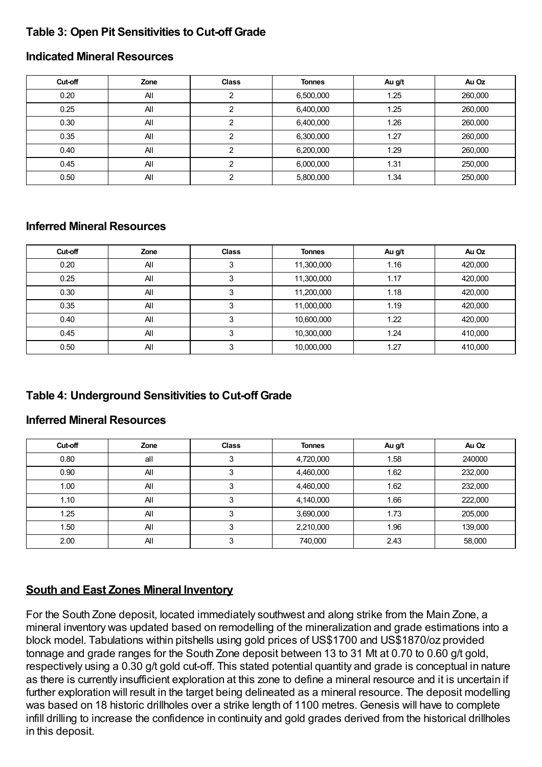## **Table 3: Open Pit Sensitivities to Cut-off Grade**

#### **Indicated Mineral Resources**

| Cut-off | Zone | <b>Class</b> | <b>Tonnes</b> | Au g/t | Au Oz   |
|---------|------|--------------|---------------|--------|---------|
| 0.20    | All  |              | 6,500,000     | 1.25   | 260,000 |
| 0.25    | All  | ົ            | 6,400,000     | 1.25   | 260,000 |
| 0.30    | All  | ົ            | 6,400,000     | 1.26   | 260,000 |
| 0.35    | All  |              | 6,300,000     | 1.27   | 260,000 |
| 0.40    | All  | ◠            | 6,200,000     | 1.29   | 260,000 |
| 0.45    | All  | ◠            | 6,000,000     | 1.31   | 250,000 |
| 0.50    | All  | ◠            | 5,800,000     | 1.34   | 250,000 |

#### **Inferred Mineral Resources**

| Cut-off | Zone | <b>Class</b> | <b>Tonnes</b> | Au g/t | Au Oz   |
|---------|------|--------------|---------------|--------|---------|
| 0.20    | All  |              | 11,300,000    | 1.16   | 420,000 |
| 0.25    | All  |              | 11,300,000    | 1.17   | 420,000 |
| 0.30    | All  |              | 11,200,000    | 1.18   | 420,000 |
| 0.35    | All  |              | 11,000,000    | 1.19   | 420,000 |
| 0.40    | All  |              | 10,600,000    | 1.22   | 420,000 |
| 0.45    | All  |              | 10,300,000    | 1.24   | 410,000 |
| 0.50    | All  |              | 10,000,000    | 1.27   | 410,000 |

## **Table 4: Underground Sensitivities to Cut-off Grade**

#### **Inferred Mineral Resources**

| Cut-off | Zone | <b>Class</b> | <b>Tonnes</b> | Au g/t | Au Oz   |
|---------|------|--------------|---------------|--------|---------|
| 0.80    | all  |              | 4,720,000     | 1.58   | 240000  |
| 0.90    | All  |              | 4,460,000     | 1.62   | 232,000 |
| 1.00    | All  |              | 4,460,000     | 1.62   | 232,000 |
| 1.10    | All  |              | 4,140,000     | 1.66   | 222,000 |
| 1.25    | All  |              | 3,690,000     | 1.73   | 205,000 |
| 1.50    | All  |              | 2,210,000     | 1.96   | 139,000 |
| 2.00    | All  |              | 740,000       | 2.43   | 58,000  |

#### **South and East Zones Mineral Inventory**

For the South Zone deposit, located immediately southwest and along strike from the Main Zone, a mineral inventory was updated based on remodelling of the mineralization and grade estimations into a block model. Tabulations within pitshells using gold prices of US\$1700 and US\$1870/oz provided tonnage and grade ranges for the South Zone deposit between 13 to 31 Mt at 0.70 to 0.60 g/t gold, respectively using a 0.30 g/t gold cut-off. This stated potential quantity and grade is conceptual in nature as there is currently insufficient exploration at this zone to define a mineral resource and it is uncertain if further exploration will result in the target being delineated as a mineral resource. The deposit modelling was based on 18 historic drillholes over a strike length of 1100 metres. Genesis will have to complete infill drilling to increase the confidence in continuity and gold grades derived from the historical drillholes in this deposit.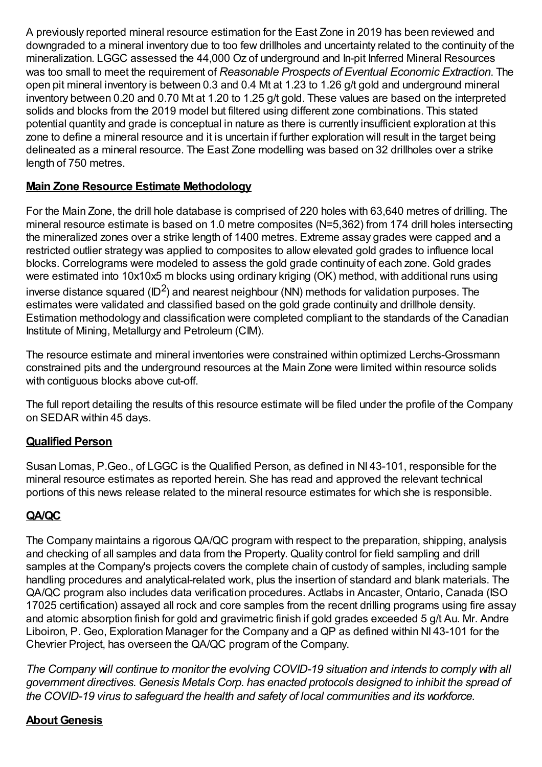A previously reported mineral resource estimation for the East Zone in 2019 has been reviewed and downgraded to a mineral inventory due to too few drillholes and uncertainty related to the continuity of the mineralization. LGGC assessed the 44,000 Oz of underground and In-pit Inferred Mineral Resources was too small to meet the requirement of *Reasonable Prospects of Eventual Economic Extraction*. The open pit mineral inventory is between 0.3 and 0.4 Mt at 1.23 to 1.26 g/t gold and underground mineral inventory between 0.20 and 0.70 Mt at 1.20 to 1.25 g/t gold. These values are based on the interpreted solids and blocks from the 2019 model but filtered using different zone combinations. This stated potential quantity and grade is conceptual in nature as there is currently insufficient exploration at this zone to define a mineral resource and it is uncertain if further exploration will result in the target being delineated as a mineral resource. The East Zone modelling was based on 32 drillholes over a strike length of 750 metres.

# **Main Zone Resource Estimate Methodology**

For the Main Zone, the drill hole database is comprised of 220 holes with 63,640 metres of drilling. The mineral resource estimate is based on 1.0 metre composites (N=5,362) from 174 drill holes intersecting the mineralized zones over a strike length of 1400 metres. Extreme assay grades were capped and a restricted outlier strategy was applied to composites to allow elevated gold grades to influence local blocks. Correlograms were modeled to assess the gold grade continuity of each zone. Gold grades were estimated into 10x10x5 m blocks using ordinary kriging (OK) method, with additional runs using inverse distance squared (ID<sup>2</sup>) and nearest neighbour (NN) methods for validation purposes. The estimates were validated and classified based on the gold grade continuity and drillhole density. Estimation methodology and classification were completed compliant to the standards of the Canadian Institute of Mining, Metallurgy and Petroleum (CIM).

The resource estimate and mineral inventories were constrained within optimized Lerchs-Grossmann constrained pits and the underground resources at the Main Zone were limited within resource solids with contiguous blocks above cut-off.

The full report detailing the results of this resource estimate will be filed under the profile of the Company on SEDAR within 45 days.

# **Qualified Person**

Susan Lomas, P.Geo., of LGGC is the Qualified Person, as defined in NI 43-101, responsible for the mineral resource estimates as reported herein. She has read and approved the relevant technical portions of this news release related to the mineral resource estimates for which she is responsible.

# **QA/QC**

The Company maintains a rigorous QA/QC program with respect to the preparation, shipping, analysis and checking of all samples and data from the Property. Quality control for field sampling and drill samples at the Company's projects covers the complete chain of custody of samples, including sample handling procedures and analytical-related work, plus the insertion of standard and blank materials. The QA/QC program also includes data verification procedures. Actlabs in Ancaster, Ontario, Canada (ISO 17025 certification) assayed all rock and core samples from the recent drilling programs using fire assay and atomic absorption finish for gold and gravimetric finish if gold grades exceeded 5 g/t Au. Mr. Andre Liboiron, P. Geo, Exploration Manager for the Company and a QP as defined within NI 43-101 for the Chevrier Project, has overseen the QA/QC program of the Company.

*The Company will continue to monitor the evolving COVID-19 situation and intends to comply with all government directives. Genesis Metals Corp. has enacted protocols designed to inhibit the spread of the COVID-19 virus to safeguard the health and safety of local communities and its workforce.*

## **About Genesis**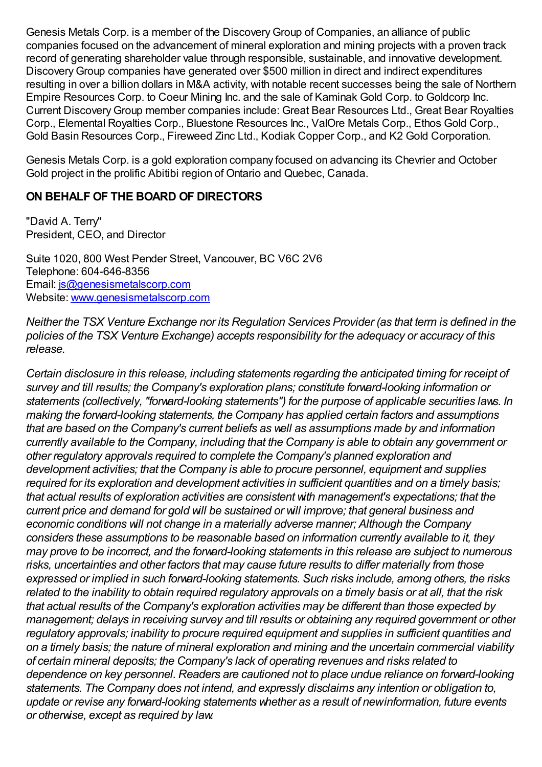Genesis Metals Corp. is a member of the DiscoveryGroup of Companies, an alliance of public companies focused on the advancement of mineral exploration and mining projects with a proven track record of generating shareholder value through responsible, sustainable, and innovative development. DiscoveryGroup companies have generated over \$500 million in direct and indirect expenditures resulting in over a billion dollars in M&A activity, with notable recent successes being the sale of Northern Empire Resources Corp. to Coeur Mining Inc. and the sale of Kaminak Gold Corp. to Goldcorp Inc. Current DiscoveryGroup member companies include: Great Bear Resources Ltd., Great Bear Royalties Corp., Elemental Royalties Corp., Bluestone Resources Inc., ValOre Metals Corp., Ethos Gold Corp., Gold Basin Resources Corp., Fireweed Zinc Ltd., Kodiak Copper Corp., and K2 Gold Corporation.

Genesis Metals Corp. is a gold exploration company focused on advancing its Chevrier and October Gold project in the prolific Abitibi region of Ontario and Quebec, Canada.

## **ON BEHALF OF THE BOARD OF DIRECTORS**

"David A. Terry" President, CEO, and Director

Suite 1020, 800 West Pender Street, Vancouver, BC V6C 2V6 Telephone: 604-646-8356 Email: [js@genesismetalscorp.com](mailto:js@genesismetalscorp.com) Website: [www.genesismetalscorp.com](https://www.newsfilecorp.com/redirect/QrV3mTnVN8)

*Neither the TSX Venture Exchange nor its Regulation Services Provider (as that term is defined in the policies of the TSX Venture Exchange) accepts responsibility for the adequacy or accuracy of this release.*

*Certain disclosure in this release, including statements regarding the anticipated timing for receipt of survey and till results; the Company's exploration plans; constitute forward-looking information or statements (collectively, "forward-looking statements") for the purpose of applicable securities laws. In making the forward-looking statements, the Company has applied certain factors and assumptions that are based on the Company's current beliefs as well as assumptions made by and information currently available to the Company, including that the Company is able to obtain any government or other regulatory approvals required to complete the Company's planned exploration and development activities; that the Company is able to procure personnel, equipment and supplies required for its exploration and development activities in sufficient quantities and on a timely basis; that actual results of exploration activities are consistent with management's expectations; that the current price and demand for gold will be sustained or will improve; that general business and economic conditions will not change in a materially adverse manner; Although the Company considers these assumptions to be reasonable based on information currently available to it, they may prove to be incorrect, and the forward-looking statements in this release are subject to numerous risks, uncertainties and other factors that may cause future results to differ materially from those expressed or implied in such forward-looking statements. Such risks include, among others, the risks* related to the inability to obtain required regulatory approvals on a timely basis or at all, that the risk *that actual results of the Company's exploration activities may be different than those expected by management; delays in receiving survey and till results or obtaining any required government or other regulatory approvals; inability to procure required equipment and supplies in sufficient quantities and on a timely basis; the nature of mineral exploration and mining and the uncertain commercial viability of certain mineral deposits; the Company's lack of operating revenues and risks related to dependence on key personnel. Readers are cautioned not to place undue reliance on forward-looking statements. The Company does not intend, and expressly disclaims any intention or obligation to, update or revise any forward-looking statements whether as a result of newinformation, future events or otherwise, except as required by law.*